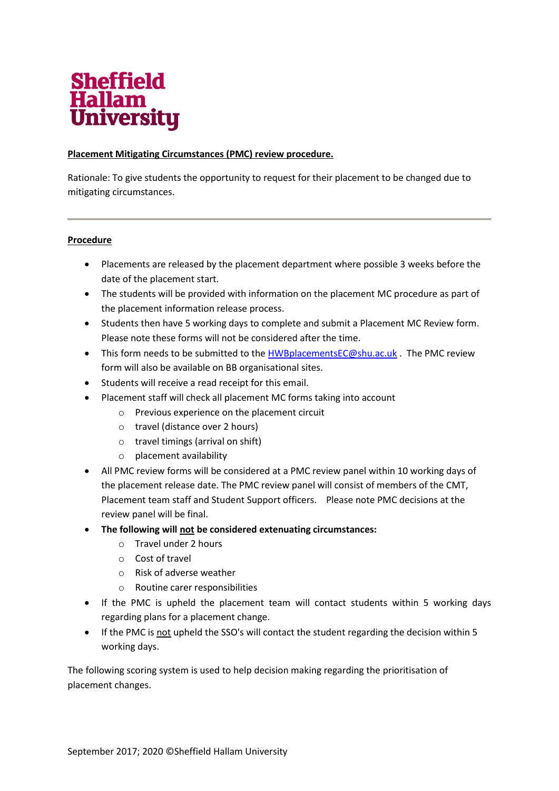

## **Placement Mitigating Circumstances (PMC) review procedure.**

Rationale: To give students the opportunity to request for their placement to be changed due to mitigating circumstances.

## **Procedure**

- Placements are released by the placement department where possible 3 weeks before the date of the placement start.
- The students will be provided with information on the placement MC procedure as part of the placement information release process.
- Students then have 5 working days to complete and submit a Placement MC Review form. Please note these forms will not be considered after the time.
- This form needs to be submitted to the [HWBplacementsEC@shu.ac.uk](mailto:HWBplacementsEC@shu.ac.uk) . The PMC review form will also be available on BB organisational sites.
- Students will receive a read receipt for this email.
- Placement staff will check all placement MC forms taking into account
	- o Previous experience on the placement circuit
	- o travel (distance over 2 hours)
	- o travel timings (arrival on shift)
	- o placement availability
- All PMC review forms will be considered at a PMC review panel within 10 working days of the placement release date. The PMC review panel will consist of members of the CMT, Placement team staff and Student Support officers. Please note PMC decisions at the review panel will be final.
- **The following will not be considered extenuating circumstances:** 
	- o Travel under 2 hours
	- o Cost of travel
	- o Risk of adverse weather
	- o Routine carer responsibilities
- If the PMC is upheld the placement team will contact students within 5 working days regarding plans for a placement change.
- If the PMC is not upheld the SSO's will contact the student regarding the decision within 5 working days.

The following scoring system is used to help decision making regarding the prioritisation of placement changes.